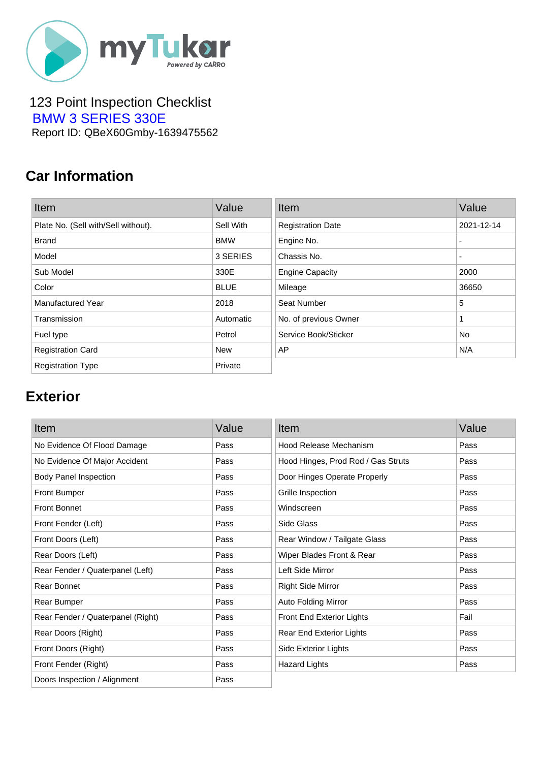

#### 123 Point Inspection Checklist  [BMW 3 SERIES 330E](https://mytukar.com/q/GV22M4) Report ID: QBeX60Gmby-1639475562

### **Car Information**

| Item                                | Value       | Item                     | Value                    |
|-------------------------------------|-------------|--------------------------|--------------------------|
| Plate No. (Sell with/Sell without). | Sell With   | <b>Registration Date</b> | 2021-12-14               |
| <b>Brand</b>                        | <b>BMW</b>  | Engine No.               | ٠                        |
| Model                               | 3 SERIES    | Chassis No.              | $\overline{\phantom{0}}$ |
| Sub Model                           | 330E        | <b>Engine Capacity</b>   | 2000                     |
| Color                               | <b>BLUE</b> | Mileage                  | 36650                    |
| <b>Manufactured Year</b>            | 2018        | Seat Number              | 5                        |
| Transmission                        | Automatic   | No. of previous Owner    | 1                        |
| Fuel type                           | Petrol      | Service Book/Sticker     | No.                      |
| <b>Registration Card</b>            | <b>New</b>  | AP                       | N/A                      |
| <b>Registration Type</b>            | Private     |                          |                          |

# **Exterior**

| Item                              | Value | Item                               | Value |
|-----------------------------------|-------|------------------------------------|-------|
| No Evidence Of Flood Damage       | Pass  | Hood Release Mechanism             | Pass  |
| No Evidence Of Major Accident     | Pass  | Hood Hinges, Prod Rod / Gas Struts | Pass  |
| <b>Body Panel Inspection</b>      | Pass  | Door Hinges Operate Properly       | Pass  |
| <b>Front Bumper</b>               | Pass  | Grille Inspection                  | Pass  |
| <b>Front Bonnet</b>               | Pass  | Windscreen                         | Pass  |
| Front Fender (Left)               | Pass  | Side Glass                         | Pass  |
| Front Doors (Left)                | Pass  | Rear Window / Tailgate Glass       | Pass  |
| Rear Doors (Left)                 | Pass  | Wiper Blades Front & Rear          | Pass  |
| Rear Fender / Quaterpanel (Left)  | Pass  | Left Side Mirror                   | Pass  |
| Rear Bonnet                       | Pass  | <b>Right Side Mirror</b>           | Pass  |
| Rear Bumper                       | Pass  | Auto Folding Mirror                | Pass  |
| Rear Fender / Quaterpanel (Right) | Pass  | Front End Exterior Lights          | Fail  |
| Rear Doors (Right)                | Pass  | Rear End Exterior Lights           | Pass  |
| Front Doors (Right)               | Pass  | Side Exterior Lights               | Pass  |
| Front Fender (Right)              | Pass  | <b>Hazard Lights</b>               | Pass  |
| Doors Inspection / Alignment      | Pass  |                                    |       |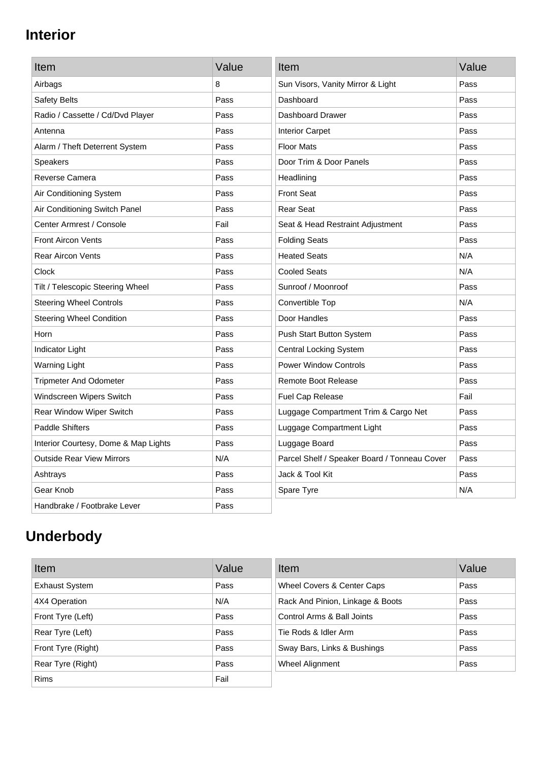# **Interior**

| Item                                 | Value | Item                                         | Value |
|--------------------------------------|-------|----------------------------------------------|-------|
| Airbags                              | 8     | Sun Visors, Vanity Mirror & Light            | Pass  |
| <b>Safety Belts</b>                  | Pass  | Dashboard                                    | Pass  |
| Radio / Cassette / Cd/Dvd Player     | Pass  | Dashboard Drawer                             | Pass  |
| Antenna                              | Pass  | <b>Interior Carpet</b>                       | Pass  |
| Alarm / Theft Deterrent System       | Pass  | <b>Floor Mats</b>                            | Pass  |
| <b>Speakers</b>                      | Pass  | Door Trim & Door Panels                      | Pass  |
| Reverse Camera                       | Pass  | Headlining                                   | Pass  |
| Air Conditioning System              | Pass  | <b>Front Seat</b>                            | Pass  |
| Air Conditioning Switch Panel        | Pass  | <b>Rear Seat</b>                             | Pass  |
| Center Armrest / Console             | Fail  | Seat & Head Restraint Adjustment             | Pass  |
| <b>Front Aircon Vents</b>            | Pass  | <b>Folding Seats</b>                         | Pass  |
| <b>Rear Aircon Vents</b>             | Pass  | <b>Heated Seats</b>                          | N/A   |
| Clock                                | Pass  | <b>Cooled Seats</b>                          | N/A   |
| Tilt / Telescopic Steering Wheel     | Pass  | Sunroof / Moonroof                           | Pass  |
| <b>Steering Wheel Controls</b>       | Pass  | Convertible Top                              | N/A   |
| <b>Steering Wheel Condition</b>      | Pass  | Door Handles                                 | Pass  |
| Horn                                 | Pass  | Push Start Button System                     | Pass  |
| Indicator Light                      | Pass  | <b>Central Locking System</b>                | Pass  |
| Warning Light                        | Pass  | <b>Power Window Controls</b>                 | Pass  |
| <b>Tripmeter And Odometer</b>        | Pass  | <b>Remote Boot Release</b>                   | Pass  |
| Windscreen Wipers Switch             | Pass  | Fuel Cap Release                             | Fail  |
| Rear Window Wiper Switch             | Pass  | Luggage Compartment Trim & Cargo Net         | Pass  |
| <b>Paddle Shifters</b>               | Pass  | Luggage Compartment Light                    | Pass  |
| Interior Courtesy, Dome & Map Lights | Pass  | Luggage Board                                | Pass  |
| <b>Outside Rear View Mirrors</b>     | N/A   | Parcel Shelf / Speaker Board / Tonneau Cover | Pass  |
| Ashtrays                             | Pass  | Jack & Tool Kit                              | Pass  |
| Gear Knob                            | Pass  | Spare Tyre                                   | N/A   |
| Handbrake / Footbrake Lever          | Pass  |                                              |       |

# **Underbody**

| Item                  | Value | Item                             | Value |
|-----------------------|-------|----------------------------------|-------|
| <b>Exhaust System</b> | Pass  | Wheel Covers & Center Caps       | Pass  |
| 4X4 Operation         | N/A   | Rack And Pinion, Linkage & Boots | Pass  |
| Front Tyre (Left)     | Pass  | Control Arms & Ball Joints       | Pass  |
| Rear Tyre (Left)      | Pass  | Tie Rods & Idler Arm             | Pass  |
| Front Tyre (Right)    | Pass  | Sway Bars, Links & Bushings      | Pass  |
| Rear Tyre (Right)     | Pass  | Wheel Alignment                  | Pass  |
| <b>Rims</b>           | Fail  |                                  |       |